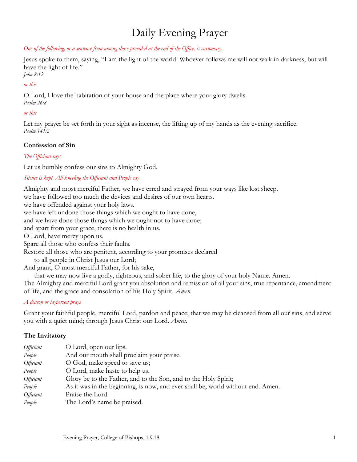# Daily Evening Prayer

*One of the following, or a sentence from among those provided at the end of the Office, is customary.* 

Jesus spoke to them, saying, "I am the light of the world. Whoever follows me will not walk in darkness, but will have the light of life."

*John 8:12*

### *or this*

O Lord, I love the habitation of your house and the place where your glory dwells. *Psalm 26:8*

# *or this*

Let my prayer be set forth in your sight as incense, the lifting up of my hands as the evening sacrifice. *Psalm 141:2*

# **Confession of Sin**

*The Officiant says*

Let us humbly confess our sins to Almighty God.

*Silence is kept. All kneeling the Officiant and People say*

Almighty and most merciful Father, we have erred and strayed from your ways like lost sheep.

we have followed too much the devices and desires of our own hearts.

we have offended against your holy laws.

we have left undone those things which we ought to have done,

and we have done those things which we ought not to have done;

and apart from your grace, there is no health in us.

O Lord, have mercy upon us.

Spare all those who confess their faults.

Restore all those who are penitent, according to your promises declared

to all people in Christ Jesus our Lord;

And grant, O most merciful Father, for his sake,

that we may now live a godly, righteous, and sober life, to the glory of your holy Name. Amen.

The Almighty and merciful Lord grant you absolution and remission of all your sins, true repentance, amendment of life, and the grace and consolation of his Holy Spirit. *Amen.*

## *A deacon or layperson prays*

Grant your faithful people, merciful Lord, pardon and peace; that we may be cleansed from all our sins, and serve you with a quiet mind; through Jesus Christ our Lord. *Amen*.

# **The Invitatory**

| <i>Officiant</i> | O Lord, open our lips.                                                          |
|------------------|---------------------------------------------------------------------------------|
| People           | And our mouth shall proclaim your praise.                                       |
| <i>Officiant</i> | O God, make speed to save us;                                                   |
| People           | O Lord, make haste to help us.                                                  |
| <i>Officiant</i> | Glory be to the Father, and to the Son, and to the Holy Spirit;                 |
| People           | As it was in the beginning, is now, and ever shall be, world without end. Amen. |
| <i>Officiant</i> | Praise the Lord.                                                                |
| People           | The Lord's name be praised.                                                     |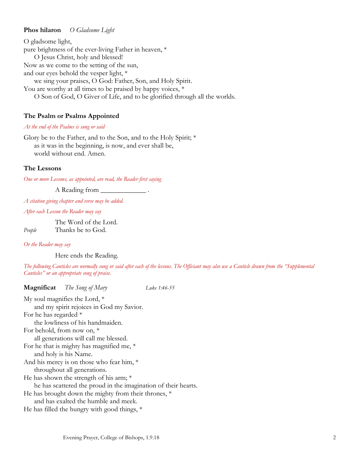#### **Phos hilaron** *O Gladsome Light*

O gladsome light, pure brightness of the ever-living Father in heaven, \* O Jesus Christ, holy and blessed! Now as we come to the setting of the sun, and our eyes behold the vesper light, \* we sing your praises, O God: Father, Son, and Holy Spirit. You are worthy at all times to be praised by happy voices,  $*$ O Son of God, O Giver of Life, and to be glorified through all the worlds.

## **The Psalm or Psalms Appointed**

#### *At the end of the Psalms is sung or said*

Glory be to the Father, and to the Son, and to the Holy Spirit; \* as it was in the beginning, is now, and ever shall be, world without end. Amen.

#### **The Lessons**

*One or more Lessons, as appointed, are read, the Reader first saying*

A Reading from

*A citation giving chapter and verse may be added.*

*After each Lesson the Reader may say*

The Word of the Lord. *People* Thanks be to God.

*Or the Reader may say*

Here ends the Reading.

*The following Canticles are normally sung or said after each of the lessons. The Officiant may also use a Canticle drawn from the "Supplemental Canticles" or an appropriate song of praise.*

**Magnificat** *The Song of Mary Luke 1:46-55* My soul magnifies the Lord, \* and my spirit rejoices in God my Savior. For he has regarded \* the lowliness of his handmaiden. For behold, from now on, \* all generations will call me blessed. For he that is mighty has magnified me, \* and holy is his Name. And his mercy is on those who fear him, \* throughout all generations. He has shown the strength of his arm;  $*$ he has scattered the proud in the imagination of their hearts. He has brought down the mighty from their thrones, \* and has exalted the humble and meek. He has filled the hungry with good things, \*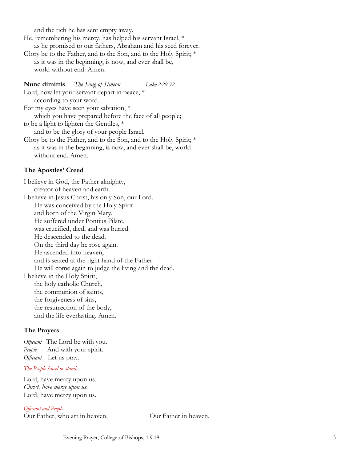and the rich he has sent empty away.

He, remembering his mercy, has helped his servant Israel, \* as he promised to our fathers, Abraham and his seed forever.

Glory be to the Father, and to the Son, and to the Holy Spirit; \* as it was in the beginning, is now, and ever shall be, world without end. Amen.

**Nunc dimittis** *The Song of Simeon* Luke 2:29-32 Lord, now let your servant depart in peace,  $*$ according to your word. For my eyes have seen your salvation, \* which you have prepared before the face of all people; to be a light to lighten the Gentiles, \* and to be the glory of your people Israel. Glory be to the Father, and to the Son, and to the Holy Spirit; \* as it was in the beginning, is now, and ever shall be, world without end. Amen.

#### **The Apostles' Creed**

I believe in God, the Father almighty, creator of heaven and earth. I believe in Jesus Christ, his only Son, our Lord. He was conceived by the Holy Spirit and born of the Virgin Mary. He suffered under Pontius Pilate, was crucified, died, and was buried. He descended to the dead. On the third day he rose again. He ascended into heaven, and is seated at the right hand of the Father. He will come again to judge the living and the dead. I believe in the Holy Spirit, the holy catholic Church, the communion of saints, the forgiveness of sins, the resurrection of the body, and the life everlasting. Amen.

#### **The Prayers**

*Officiant* The Lord be with you. *People* And with your spirit. *Officiant* Let us pray.

#### *The People kneel or stand.*

Lord, have mercy upon us. *Christ, have mercy upon us.* Lord, have mercy upon us.

*Officiant and People* Our Father, who art in heaven, Our Father in heaven,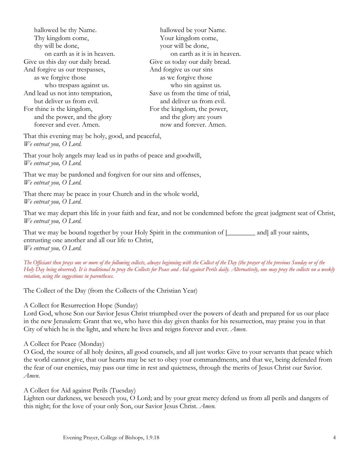| hallowed be thy Name.             | hallowed be your Name.          |
|-----------------------------------|---------------------------------|
| Thy kingdom come,                 | Your kingdom come,              |
| thy will be done,                 | your will be done,              |
| on earth as it is in heaven.      | on earth as it is in heaven.    |
| Give us this day our daily bread. | Give us today our daily bread.  |
| And forgive us our trespasses,    | And forgive us our sins         |
| as we forgive those               | as we forgive those             |
| who trespass against us.          | who sin against us.             |
| And lead us not into temptation,  | Save us from the time of trial, |
| but deliver us from evil.         | and deliver us from evil.       |
| For thine is the kingdom,         | For the kingdom, the power,     |
| and the power, and the glory      | and the glory are yours         |
| forever and ever. Amen.           | now and forever. Amen.          |

That this evening may be holy, good, and peaceful, *We entreat you, O Lord.*

That your holy angels may lead us in paths of peace and goodwill, *We entreat you, O Lord.*

That we may be pardoned and forgiven for our sins and offenses, *We entreat you, O Lord.*

That there may be peace in your Church and in the whole world, *We entreat you, O Lord.*

That we may depart this life in your faith and fear, and not be condemned before the great judgment seat of Christ, *We entreat you, O Lord.*

That we may be bound together by your Holy Spirit in the communion of [\_\_\_\_\_\_\_\_ and] all your saints, entrusting one another and all our life to Christ, *We entreat you, O Lord.*

*The Officiant then prays one or more of the following collects, always beginning with the Collect of the Day (the prayer of the previous Sunday or of the Holy Day being observed). It is traditional to pray the Collects for Peace and Aid against Perils daily. Alternatively, one may pray the collects on a weekly rotation, using the suggestions in parentheses.*

The Collect of the Day (from the Collects of the Christian Year)

A Collect for Resurrection Hope (Sunday)

Lord God, whose Son our Savior Jesus Christ triumphed over the powers of death and prepared for us our place in the new Jerusalem: Grant that we, who have this day given thanks for his resurrection, may praise you in that City of which he is the light, and where he lives and reigns forever and ever. *Amen*.

A Collect for Peace (Monday)

O God, the source of all holy desires, all good counsels, and all just works: Give to your servants that peace which the world cannot give, that our hearts may be set to obey your commandments, and that we, being defended from the fear of our enemies, may pass our time in rest and quietness, through the merits of Jesus Christ our Savior. *Amen*.

A Collect for Aid against Perils (Tuesday)

Lighten our darkness, we beseech you, O Lord; and by your great mercy defend us from all perils and dangers of this night; for the love of your only Son, our Savior Jesus Christ. *Amen.*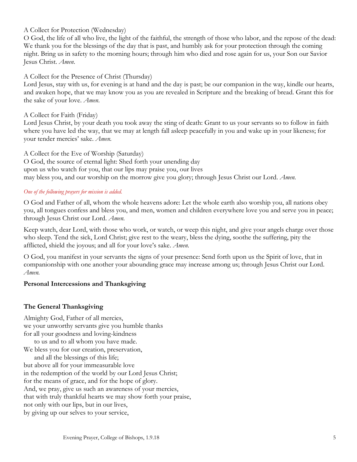# A Collect for Protection (Wednesday)

O God, the life of all who live, the light of the faithful, the strength of those who labor, and the repose of the dead: We thank you for the blessings of the day that is past, and humbly ask for your protection through the coming night. Bring us in safety to the morning hours; through him who died and rose again for us, your Son our Savior Jesus Christ. *Amen*.

# A Collect for the Presence of Christ (Thursday)

Lord Jesus, stay with us, for evening is at hand and the day is past; be our companion in the way, kindle our hearts, and awaken hope, that we may know you as you are revealed in Scripture and the breaking of bread. Grant this for the sake of your love. *Amen*.

# A Collect for Faith (Friday)

Lord Jesus Christ, by your death you took away the sting of death: Grant to us your servants so to follow in faith where you have led the way, that we may at length fall asleep peacefully in you and wake up in your likeness; for your tender mercies' sake. *Amen.*

A Collect for the Eve of Worship (Saturday) O God, the source of eternal light: Shed forth your unending day upon us who watch for you, that our lips may praise you, our lives may bless you, and our worship on the morrow give you glory; through Jesus Christ our Lord. *Amen.*

## *One of the following prayers for mission is added.*

O God and Father of all, whom the whole heavens adore: Let the whole earth also worship you, all nations obey you, all tongues confess and bless you, and men, women and children everywhere love you and serve you in peace; through Jesus Christ our Lord. *Amen.*

Keep watch, dear Lord, with those who work, or watch, or weep this night, and give your angels charge over those who sleep. Tend the sick, Lord Christ; give rest to the weary, bless the dying, soothe the suffering, pity the afflicted, shield the joyous; and all for your love's sake. *Amen.*

O God, you manifest in your servants the signs of your presence: Send forth upon us the Spirit of love, that in companionship with one another your abounding grace may increase among us; through Jesus Christ our Lord. *Amen.*

# **Personal Intercessions and Thanksgiving**

# **The General Thanksgiving**

Almighty God, Father of all mercies, we your unworthy servants give you humble thanks for all your goodness and loving-kindness to us and to all whom you have made. We bless you for our creation, preservation, and all the blessings of this life; but above all for your immeasurable love in the redemption of the world by our Lord Jesus Christ; for the means of grace, and for the hope of glory. And, we pray, give us such an awareness of your mercies, that with truly thankful hearts we may show forth your praise, not only with our lips, but in our lives, by giving up our selves to your service,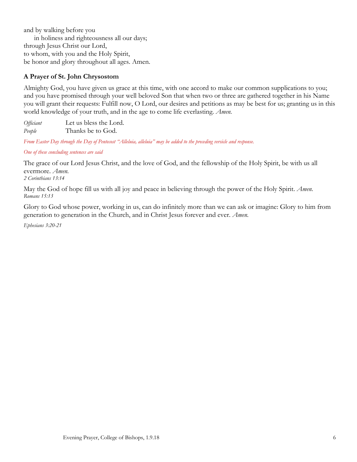and by walking before you in holiness and righteousness all our days; through Jesus Christ our Lord, to whom, with you and the Holy Spirit, be honor and glory throughout all ages. Amen.

# **A Prayer of St. John Chrysostom**

Almighty God, you have given us grace at this time, with one accord to make our common supplications to you; and you have promised through your well beloved Son that when two or three are gathered together in his Name you will grant their requests: Fulfill now, O Lord, our desires and petitions as may be best for us; granting us in this world knowledge of your truth, and in the age to come life everlasting. *Amen.*

*Officiant* Let us bless the Lord. *People* Thanks be to God.

*From Easter Day through the Day of Pentecost "Alleluia, alleluia" may be added to the preceding versicle and response.*

*One of these concluding sentences are said*

The grace of our Lord Jesus Christ, and the love of God, and the fellowship of the Holy Spirit, be with us all evermore. *Amen.*

*2 Corinthians 13:14*

May the God of hope fill us with all joy and peace in believing through the power of the Holy Spirit. *Amen. Romans 15:13*

Glory to God whose power, working in us, can do infinitely more than we can ask or imagine: Glory to him from generation to generation in the Church, and in Christ Jesus forever and ever. *Amen.* 

*Ephesians 3:20-21*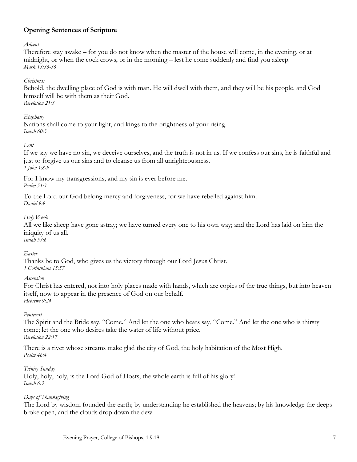# **Opening Sentences of Scripture**

*Advent*

Therefore stay awake – for you do not know when the master of the house will come, in the evening, or at midnight, or when the cock crows, or in the morning – lest he come suddenly and find you asleep. *Mark 13:35-36*

### *Christmas*

Behold, the dwelling place of God is with man. He will dwell with them, and they will be his people, and God himself will be with them as their God. *Revelation 21:3*

# *Epiphany*

Nations shall come to your light, and kings to the brightness of your rising. *Isaiah 60:3*

#### *Lent*

If we say we have no sin, we deceive ourselves, and the truth is not in us. If we confess our sins, he is faithful and just to forgive us our sins and to cleanse us from all unrighteousness. *1 John 1:8-9*

For I know my transgressions, and my sin is ever before me. *Psalm 51:3*

To the Lord our God belong mercy and forgiveness, for we have rebelled against him. *Daniel 9:9*

## *Holy Week*

All we like sheep have gone astray; we have turned every one to his own way; and the Lord has laid on him the iniquity of us all. *Isaiah 53:6*

## *Easter*

Thanks be to God, who gives us the victory through our Lord Jesus Christ. *1 Corinthians 15:57*

#### *Ascension*

For Christ has entered, not into holy places made with hands, which are copies of the true things, but into heaven itself, now to appear in the presence of God on our behalf. *Hebrews 9:24*

## *Pentecost*

The Spirit and the Bride say, "Come." And let the one who hears say, "Come." And let the one who is thirsty come; let the one who desires take the water of life without price. *Revelation 22:17*

There is a river whose streams make glad the city of God, the holy habitation of the Most High. *Psalm 46:4*

## *Trinity Sunday*

Holy, holy, holy, is the Lord God of Hosts; the whole earth is full of his glory! *Isaiah 6:3*

## *Days of Thanksgiving*

The Lord by wisdom founded the earth; by understanding he established the heavens; by his knowledge the deeps broke open, and the clouds drop down the dew.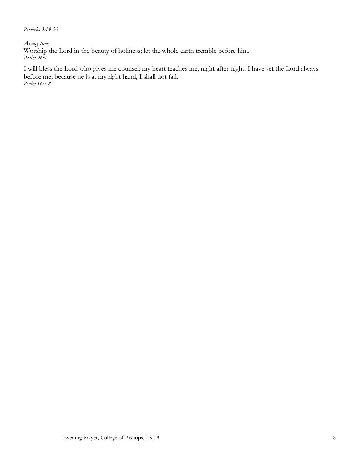*Proverbs 3:19-20*

*At any time*

Worship the Lord in the beauty of holiness; let the whole earth tremble before him. *Psalm 96:9*

I will bless the Lord who gives me counsel; my heart teaches me, night after night. I have set the Lord always before me; because he is at my right hand, I shall not fall. *Psalm 16:7-8*